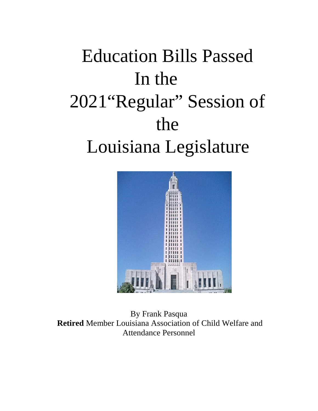# Education Bills Passed In the 2021"Regular" Session of the Louisiana Legislature



By Frank Pasqua **Retired** Member Louisiana Association of Child Welfare and Attendance Personnel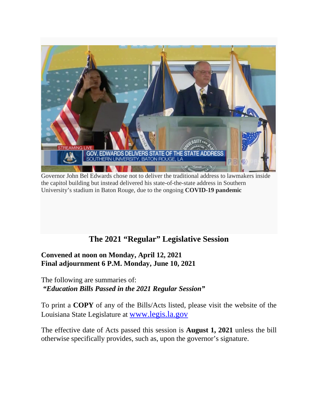

Governor John Bel Edwards chose not to deliver the traditional address to lawmakers inside the capitol building but instead delivered his state-of-the-state address in Southern University's stadium in Baton Rouge, due to the ongoing **COVID-19 pandemic**

# **The 2021 "Regular" Legislative Session**

#### **Convened at noon on Monday, April 12, 2021 Final adjournment 6 P.M. Monday, June 10, 2021**

The following are summaries of: *"Education Bills Passed in the 2021 Regular Session"*

To print a **COPY** of any of the Bills/Acts listed, please visit the website of the Louisiana State Legislature at [www.legis.la.gov](http://www.legis.la.gov/)

The effective date of Acts passed this session is **August 1, 2021** unless the bill otherwise specifically provides, such as, upon the governor's signature.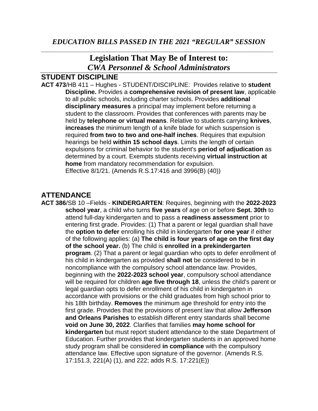# **Legislation That May Be of Interest to:** *CWA Personnel & School Administrators*

#### **STUDENT DISCIPLINE**

**ACT 473**/HB 411 – Hughes - STUDENT/DISCIPLINE: Provides relative to **student Discipline.** Provides a **comprehensive revision of present law**, applicable to all public schools, including charter schools. Provides **additional disciplinary measures** a principal may implement before returning a student to the classroom. Provides that conferences with parents may be held by **telephone or virtual means**. Relative to students carrying **knives**, **increases** the minimum length of a knife blade for which suspension is required **from two to two and one-half inches**. Requires that expulsion hearings be held **within 15 school days**. Limits the length of certain expulsions for criminal behavior to the student's **period of adjudication** as determined by a court. Exempts students receiving **virtual instruction at home** from mandatory recommendation for expulsion. Effective 8/1/21. (Amends R.S.17:416 and 3996(B) (40))

#### **ATTENDANCE**

**ACT 386**/SB 10 –Fields - **KINDERGARTEN**: Requires, beginning with the **2022-2023 school year**, a child who turns **five years** of age on or before **Sept. 30th** to attend full-day kindergarten and to pass a **readiness assessment** prior to entering first grade. Provides: (1) That a parent or legal guardian shall have the **option to defer** enrolling his child in kindergarten **for one year** if either of the following applies: (a) **The child is four years of age on the first day of the school year.** (b) The child is **enrolled in a prekindergarten program**. (2) That a parent or legal guardian who opts to defer enrollment of his child in kindergarten as provided **shall not** be considered to be in noncompliance with the compulsory school attendance law. Provides, beginning with the **2022-2023 school year**, compulsory school attendance will be required for children **age five through 18**, unless the child's parent or legal guardian opts to defer enrollment of his child in kindergarten in accordance with provisions or the child graduates from high school prior to his 18th birthday. **Removes** the minimum age threshold for entry into the first grade. Provides that the provisions of present law that allow **Jefferson and Orleans Parishes** to establish different entry standards shall become **void on June 30, 2022**. Clarifies that families **may home school for kindergarten** but must report student attendance to the state Department of Education. Further provides that kindergarten students in an approved home study program shall be considered **in compliance** with the compulsory attendance law. Effective upon signature of the governor. (Amends R.S. 17:151.3, 221(A) (1), and 222; adds R.S. 17:221(E))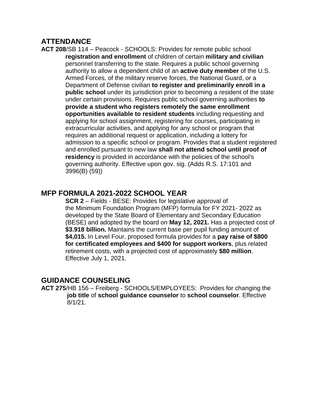#### **ATTENDANCE**

**ACT 208**/SB 114 – Peacock - SCHOOLS: Provides for remote public school **registration and enrollment** of children of certain **military and civilian** personnel transferring to the state. Requires a public school governing authority to allow a dependent child of an **active duty member** of the U.S. Armed Forces, of the military reserve forces, the National Guard, or a Department of Defense civilian **to register and preliminarily enroll in a public school** under its jurisdiction prior to becoming a resident of the state under certain provisions. Requires public school governing authorities **to provide a student who registers remotely the same enrollment opportunities available to resident students** including requesting and applying for school assignment, registering for courses, participating in extracurricular activities, and applying for any school or program that requires an additional request or application, including a lottery for admission to a specific school or program. Provides that a student registered and enrolled pursuant to new law **shall not attend school until proof of residency** is provided in accordance with the policies of the school's governing authority. Effective upon gov. sig. (Adds R.S. 17:101 and 3996(B) (59))

#### **MFP FORMULA 2021-2022 SCHOOL YEAR**

 **SCR 2** – Fields - BESE: Provides for legislative approval of the Minimum Foundation Program (MFP) formula for FY 2021- 2022 as developed by the State Board of Elementary and Secondary Education (BESE) and adopted by the board on **May 12, 2021.** Has a projected cost of **\$3.918 billion.** Maintains the current base per pupil funding amount of **\$4,015.** In Level Four, proposed formula provides for a **pay raise of \$800 for certificated employees and \$400 for support workers**, plus related retirement costs, with a projected cost of approximately **\$80 million**. Effective July 1, 2021.

#### **GUIDANCE COUNSELING**

**ACT 275**/HB 156 – Freiberg - SCHOOLS/EMPLOYEES: Provides for changing the **job title** of **school guidance counselor** to **school counselor**. Effective 8/1/21.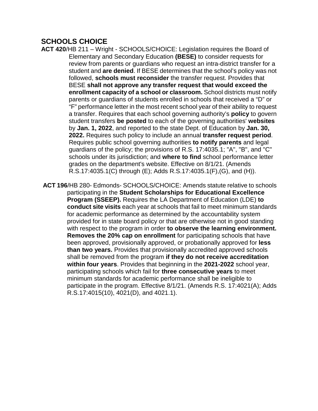#### **SCHOOLS CHOICE**

**ACT 420**/HB 211 – Wright - SCHOOLS/CHOICE: Legislation requires the Board of Elementary and Secondary Education **(BESE)** to consider requests for review from parents or guardians who request an intra-district transfer for a student and **are denied**. If BESE determines that the school's policy was not followed, **schools must reconsider** the transfer request. Provides that BESE **shall not approve any transfer request that would exceed the enrollment capacity of a school or classroom.** School districts must notify parents or guardians of students enrolled in schools that received a "D" or "F" performance letter in the most recent school year of their ability to request a transfer. Requires that each school governing authority's **policy** to govern student transfers **be posted** to each of the governing authorities' **websites** by **Jan. 1, 2022**, and reported to the state Dept. of Education by **Jan. 30, 2022.** Requires such policy to include an annual **transfer request period**. Requires public school governing authorities **to notify parents** and legal guardians of the policy; the provisions of R.S. 17:4035.1; "A", "B", and "C" schools under its jurisdiction; and **where to find** school performance letter grades on the department's website. Effective on 8/1/21. (Amends R.S.17:4035.1(C) through (E); Adds R.S.17:4035.1(F),(G), and (H)).

**ACT 196**/HB 280- Edmonds- SCHOOLS/CHOICE: Amends statute relative to schools participating in the **Student Scholarships for Educational Excellence Program (SSEEP).** Requires the LA Department of Education (LDE) **to conduct site visits** each year at schools that fail to meet minimum standards for academic performance as determined by the accountability system provided for in state board policy or that are otherwise not in good standing with respect to the program in order **to observe the learning environment. Removes the 20% cap on enrollment** for participating schools that have been approved, provisionally approved, or probationally approved for **less than two years.** Provides that provisionally accredited approved schools shall be removed from the program **if they do not receive accreditation within four years**. Provides that beginning in the **2021-2022** school year, participating schools which fail for **three consecutive years** to meet minimum standards for academic performance shall be ineligible to participate in the program. Effective 8/1/21. (Amends R.S. 17:4021(A); Adds R.S.17:4015(10), 4021(D), and 4021.1).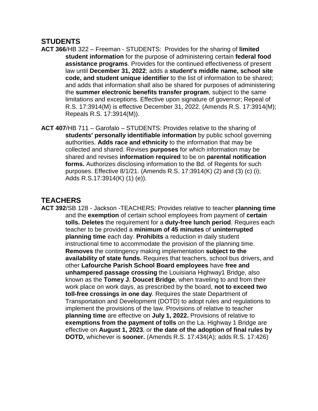#### **STUDENTS**

- **ACT 366**/HB 322 Freeman STUDENTS: Provides for the sharing of **limited student information** for the purpose of administering certain **federal food assistance programs**. Provides for the continued effectiveness of present law until **December 31, 2022**; adds a **student's middle name, school site code, and student unique identifier** to the list of information to be shared; and adds that information shall also be shared for purposes of administering the **summer electronic benefits transfer program**, subject to the same limitations and exceptions. Effective upon signature of governor; Repeal of R.S. 17:3914(M) is effective December 31, 2022. (Amends R.S. 17:3914(M); Repeals R.S. 17:3914(M)).
- **ACT 407**/HB 711 Garofalo STUDENTS: Provides relative to the sharing of **students' personally identifiable information** by public school governing authorities. **Adds race and ethnicity** to the information that may be collected and shared. Revises **purposes** for which information may be shared and revises **information required** to be on **parental notification forms.** Authorizes disclosing information to the Bd. of Regents for such purposes. Effective 8/1/21. (Amends R.S. 17:3914(K) (2) and (3) (c) (i); Adds R.S.17:3914(K) (1) (e)).

# **TEACHERS**

**ACT 392**/SB 128 - Jackson -TEACHERS: Provides relative to teacher **planning time** and the **exemption** of certain school employees from payment of **certain tolls. Deletes** the requirement for a **duty-free lunch period**. Requires each teacher to be provided a **minimum of 45 minutes** of **uninterrupted planning time** each day. **Prohibits** a reduction in daily student instructional time to accommodate the provision of the planning time. **Removes** the contingency making implementation **subject to the availability of state funds.** Requires that teachers, school bus drivers, and other **Lafourche Parish School Board employees** have **free and unhampered passage crossing** the Louisiana Highway1 Bridge, also known as the **Tomey J. Doucet Bridge**, when traveling to and from their work place on work days, as prescribed by the board, **not to exceed two toll-free crossings in one day**. Requires the state Department of Transportation and Development (DOTD) to adopt rules and regulations to implement the provisions of the law. Provisions of relative to teacher **planning time** are effective on **July 1, 2022.** Provisions of relative to **exemptions from the payment of tolls** on the La. Highway 1 Bridge are effective on **August 1, 2023**, or **the date of the adoption of final rules by DOTD,** whichever is **sooner.** (Amends R.S. 17:434(A); adds R.S. 17:426)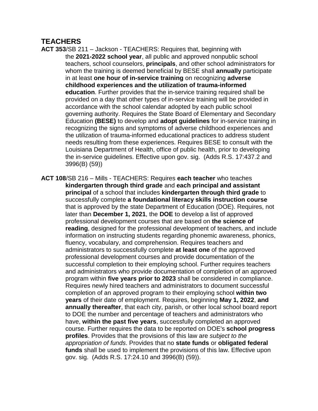# **TEACHERS**

- **ACT 353**/SB 211 Jackson TEACHERS: Requires that, beginning with the **2021-2022 school year**, all public and approved nonpublic school teachers, school counselors, **principals**, and other school administrators for whom the training is deemed beneficial by BESE shall **annually** participate in at least **one hour of in-service training** on recognizing **adverse childhood experiences and the utilization of trauma-informed education**. Further provides that the in-service training required shall be provided on a day that other types of in-service training will be provided in accordance with the school calendar adopted by each public school governing authority. Requires the State Board of Elementary and Secondary Education **(BESE)** to develop and **adopt guidelines** for in-service training in recognizing the signs and symptoms of adverse childhood experiences and the utilization of trauma-informed educational practices to address student needs resulting from these experiences. Requires BESE to consult with the Louisiana Department of Health, office of public health, prior to developing the in-service guidelines. Effective upon gov. sig. (Adds R.S. 17:437.2 and 3996(B) (59))
- **ACT 108**/SB 216 Mills TEACHERS: Requires **each teacher** who teaches **kindergarten through third grade** and **each principal and assistant principal** of a school that includes **kindergarten through third grade** to successfully complete **a foundational literacy skills instruction course** that is approved by the state Department of Education (DOE). Requires, not later than **December 1, 2021**, the **DOE** to develop a list of approved professional development courses that are based on **the science of reading**, designed for the professional development of teachers, and include information on instructing students regarding phonemic awareness, phonics, fluency, vocabulary, and comprehension. Requires teachers and administrators to successfully complete **at least one** of the approved professional development courses and provide documentation of the successful completion to their employing school. Further requires teachers and administrators who provide documentation of completion of an approved program within **five years prior to 2023** shall be considered in compliance. Requires newly hired teachers and administrators to document successful completion of an approved program to their employing school **within two years** of their date of employment. Requires, beginning **May 1, 2022**, **and annually thereafter**, that each city, parish, or other local school board report to DOE the number and percentage of teachers and administrators who have, **within the past five years**, successfully completed an approved course. Further requires the data to be reported on DOE's **school progress profiles**. Provides that the provisions of this law are *subject to the appropriation of funds*. Provides that no **state funds** or **obligated federal funds** shall be used to implement the provisions of this law. Effective upon gov. sig. (Adds R.S. 17:24.10 and 3996(B) (59)).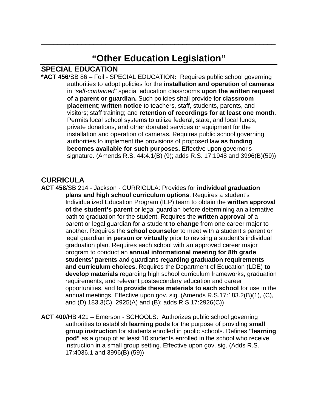# **"Other Education Legislation"**

**\_\_\_\_\_\_\_\_\_\_\_\_\_\_\_\_\_\_\_\_\_\_\_\_\_\_\_\_\_\_\_\_\_\_\_\_\_\_\_\_\_\_\_\_\_\_\_\_\_\_\_\_\_\_\_\_\_\_**

#### **SPECIAL EDUCATION**

**\*ACT 456**/SB 86 – Foil - SPECIAL EDUCATION**:** Requires public school governing authorities to adopt policies for the **installation and operation of cameras** in "*self-contained*" special education classrooms **upon the written request of a parent or guardian.** Such policies shall provide for **classroom placement**; **written notice** to teachers, staff, students, parents, and visitors; staff training; and **retention of recordings for at least one month**. Permits local school systems to utilize federal, state, and local funds, private donations, and other donated services or equipment for the installation and operation of cameras. Requires public school governing authorities to implement the provisions of proposed law **as funding becomes available for such purposes.** Effective upon governor's signature. (Amends R.S. 44:4.1(B) (9); adds R.S. 17:1948 and 3996(B)(59))

#### **CURRICULA**

**ACT 458**/SB 214 - Jackson - CURRICULA: Provides for **individual graduation plans and high school curriculum options**. Requires a student's Individualized Education Program (IEP) team to obtain the **written approval of the student's parent** or legal guardian before determining an alternative path to graduation for the student. Requires the **written approval** of a parent or legal guardian for a student **to change** from one career major to another. Requires the **school counselor** to meet with a student's parent or legal guardian **in person or virtually** prior to revising a student's individual graduation plan. Requires each school with an approved career major program to conduct an **annual informational meeting for 8th grade students' parents** and guardians **regarding graduation requirements and curriculum choices.** Requires the Department of Education (LDE) **to develop materials** regarding high school curriculum frameworks, graduation requirements, and relevant postsecondary education and career opportunities, and t**o provide these materials to each school** for use in the annual meetings. Effective upon gov. sig. (Amends R.S.17:183.2(B)(1), (C), and (D) 183.3(C), 2925(A) and (B); adds R.S.17:2926(C))

**ACT 400**/HB 421 – Emerson - SCHOOLS: Authorizes public school governing authorities to establish **learning pods** for the purpose of providing **small group instruction** for students enrolled in public schools. Defines **"learning pod"** as a group of at least 10 students enrolled in the school who receive instruction in a small group setting. Effective upon gov. sig. (Adds R.S. 17:4036.1 and 3996(B) (59))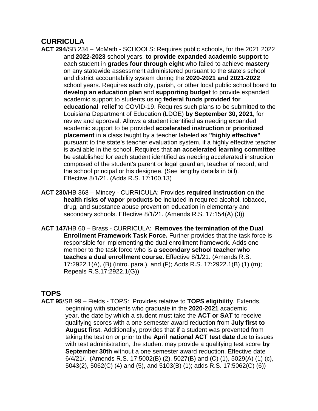# **CURRICULA**

- **ACT 294**/SB 234 McMath SCHOOLS: Requires public schools, for the 2021 2022 and **2022-2023** school years, **to provide expanded academic support** to each student in **grades four through eight** who failed to achieve **mastery** on any statewide assessment administered pursuant to the state's school and district accountability system during the **2020-2021 and 2021-2022** school years. Requires each city, parish, or other local public school board **to develop an education plan** and **supporting budget** to provide expanded academic support to students using **federal funds provided for educational relief** to COVID-19. Requires such plans to be submitted to the Louisiana Department of Education (LDOE) **by September 30, 2021**, for review and approval. Allows a student identified as needing expanded academic support to be provided **accelerated instruction** or **prioritized placement** in a class taught by a teacher labeled as **"highly effective"** pursuant to the state's teacher evaluation system, if a highly effective teacher is available in the school .Requires that **an accelerated learning committee** be established for each student identified as needing accelerated instruction composed of the student's parent or legal guardian, teacher of record, and the school principal or his designee. (See lengthy details in bill). Effective 8/1/21. (Adds R.S. 17:100.13)
- **ACT 230**/HB 368 Mincey CURRICULA: Provides **required instruction** on the **health risks of vapor products** be included in required alcohol, tobacco, drug, and substance abuse prevention education in elementary and secondary schools. Effective 8/1/21. (Amends R.S. 17:154(A) (3))
- **ACT 147**/HB 60 Brass CURRICULA: **Removes the termination of the Dual Enrollment Framework Task Force.** Further provides that the task force is responsible for implementing the dual enrollment framework. Adds one member to the task force who is **a secondary school teacher who teaches a dual enrollment course.** Effective 8/1/21. (Amends R.S. 17:2922.1(A), (B) (intro. para.), and (F); Adds R.S. 17:2922.1(B) (1) (m); Repeals R.S.17:2922.1(G))

#### **TOPS**

**ACT 95**/SB 99 – Fields - TOPS: Provides relative to **TOPS eligibility**. Extends, beginning with students who graduate in the **2020-2021** academic year, the date by which a student must take the **ACT or SAT** to receive qualifying scores with a one semester award reduction from **July first to August first**. Additionally, provides that if a student was prevented from taking the test on or prior to the **April national ACT test date** due to issues with test administration, the student may provide a qualifying test score **by September 30th** without a one semester award reduction. Effective date 6/4/21/. (Amends R.S. 17:5002(B) (2), 5027(B) and (C) (1), 5029(A) (1) (c), 5043(2), 5062(C) (4) and (5), and 5103(B) (1); adds R.S. 17:5062(C) (6))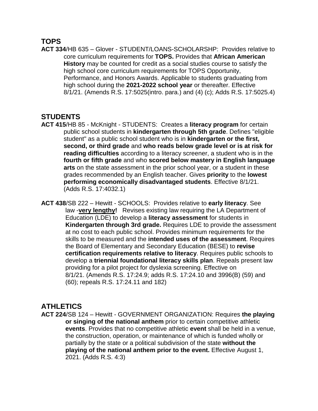#### **TOPS**

**ACT 334**/HB 635 – Glover - STUDENT/LOANS-SCHOLARSHP: Provides relative to core curriculum requirements for **TOPS.** Provides that **African American History** may be counted for credit as a social studies course to satisfy the high school core curriculum requirements for TOPS Opportunity, Performance, and Honors Awards. Applicable to students graduating from high school during the **2021-2022 school year** or thereafter. Effective 8/1/21. (Amends R.S. 17:5025(intro. para.) and (4) (c); Adds R.S. 17:5025.4)

#### **STUDENTS**

- **ACT 415**/HB 85 McKnight STUDENTS: Creates a **literacy program** for certain public school students in **kindergarten through 5th grade**. Defines "eligible student" as a public school student who is in **kindergarten or the first, second, or third grade** and **who reads below grade level or is at risk for reading difficulties** according to a literacy screener, a student who is in the  **fourth or fifth grade** and who **scored below mastery in English language arts** on the state assessment in the prior school year, or a student in these grades recommended by an English teacher. Gives **priority** to the **lowest performing economically disadvantaged students**. Effective 8/1/21. (Adds R.S. 17:4032.1)
- **ACT 438**/SB 222 Hewitt SCHOOLS: Provides relative to **early literacy**. See law -**very lengthy!** Revises existing law requiring the LA Department of Education (LDE) to develop a **literacy assessment** for students in **Kindergarten through 3rd grade.** Requires LDE to provide the assessment at no cost to each public school. Provides minimum requirements for the skills to be measured and the **intended uses of the assessment**. Requires the Board of Elementary and Secondary Education (BESE) to **revise certification requirements relative to literacy**. Requires public schools to develop a **triennial foundational literacy skills plan**. Repeals present law providing for a pilot project for dyslexia screening. Effective on 8/1/21. (Amends R.S. 17:24.9; adds R.S. 17:24.10 and 3996(B) (59) and (60); repeals R.S. 17:24.11 and 182)

#### **ATHLETICS**

**ACT 224**/SB 124 – Hewitt - GOVERNMENT ORGANIZATION: Requires **the playing or singing of the national anthem** prior to certain competitive athletic **events**. Provides that no competitive athletic **event** shall be held in a venue, the construction, operation, or maintenance of which is funded wholly or partially by the state or a political subdivision of the state **without the playing of the national anthem prior to the event.** Effective August 1, 2021. (Adds R.S. 4:3)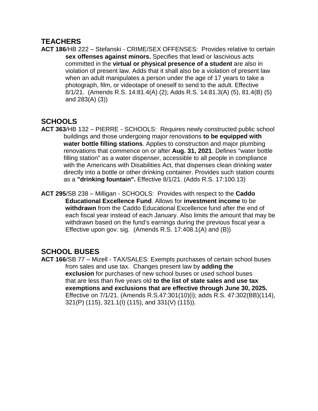# **TEACHERS**

**ACT 186**/HB 222 – Stefanski - CRIME/SEX OFFENSES: Provides relative to certain **sex offenses against minors.** Specifies that lewd or lascivious acts committed in the **virtual or physical presence of a student** are also in violation of present law. Adds that it shall also be a violation of present law when an adult manipulates a person under the age of 17 years to take a photograph, film, or videotape of oneself to send to the adult. Effective 8/1/21. (Amends R.S. 14:81.4(A) (2); Adds R.S. 14:81.3(A) (5), 81.4(B) (5) and 283(A) (3))

# **SCHOOLS**

- **ACT 363**/HB 132 PIERRE SCHOOLS: Requires newly constructed public school buildings and those undergoing major renovations **to be equipped with water bottle filling stations**. Applies to construction and major plumbing renovations that commence on or after **Aug. 31, 2021**. Defines "water bottle filling station" as a water dispenser, accessible to all people in compliance with the Americans with Disabilities Act, that dispenses clean drinking water directly into a bottle or other drinking container. Provides such station counts as a **"drinking fountain".** Effective 8/1/21. (Adds R.S. 17:100.13)
- **ACT 295**/SB 238 Milligan SCHOOLS: Provides with respect to the **Caddo Educational Excellence Fund**. Allows for **investment income** to be **withdrawn** from the Caddo Educational Excellence fund after the end of each fiscal year instead of each January. Also limits the amount that may be withdrawn based on the fund's earnings during the previous fiscal year a Effective upon gov. sig. (Amends R.S. 17:408.1(A) and (B))

# **SCHOOL BUSES**

**ACT 166**/SB 77 – Mizell - TAX/SALES: Exempts purchases of certain school buses from sales and use tax. Changes present law by **adding the exclusion** for purchases of new school buses or used school buses that are less than five years old **to the list of state sales and use tax exemptions and exclusions that are effective through June 30, 2025.** Effective on 7/1/21. (Amends R.S.47:301(10)(i); adds R.S. 47:302(BB)(114), 321(P) (115), 321.1(I) (115), and 331(V) (115)).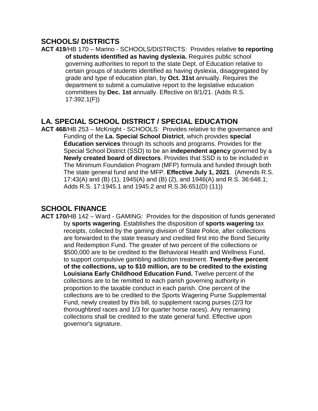#### **SCHOOLS/ DISTRICTS**

**ACT 419**/HB 170 – Marino - SCHOOLS/DISTRICTS: Provides relative **to reporting of students identified as having dyslexia.** Requires public school governing authorities to report to the state Dept. of Education relative to certain groups of students identified as having dyslexia, disaggregated by grade and type of education plan, by **Oct. 31st** annually. Requires the department to submit a cumulative report to the legislative education committees by **Dec. 1st** annually. Effective on 8/1/21. (Adds R.S. 17:392.1(F))

#### **LA. SPECIAL SCHOOL DISTRICT / SPECIAL EDUCATION**

**ACT 468**/HB 253 – McKnight - SCHOOLS: Provides relative to the governance and Funding of the **La. Special School District**, which provides **special Education services** through its schools and programs. Provides for the Special School District (SSD) to be an **independent agency** governed by a **Newly created board of directors**. Provides that SSD is to be included in The Minimum Foundation Program (MFP) formula and funded through both The state general fund and the MFP. **Effective July 1, 2021**. (Amends R.S. 17:43(A) and (B) (1), 1945(A) and (B) (2), and 1946(A) and R.S. 36:648.1; Adds R.S. 17:1945.1 and 1945.2 and R.S.36:651(D) (11))

# **SCHOOL FINANCE**

**ACT 170/**HB 142 – Ward - GAMING: Provides for the disposition of funds generated by **sports wagering**. Establishes the disposition of **sports wagering** tax receipts, collected by the gaming division of State Police, after collections are forwarded to the state treasury and credited first into the Bond Security and Redemption Fund. The greater of two percent of the collections or \$500,000 are to be credited to the Behavioral Health and Wellness Fund, to support compulsive gambling addiction treatment. **Twenty-five percent of the collections, up to \$10 million, are to be credited to the existing Louisiana Early Childhood Education Fund.** Twelve percent of the collections are to be remitted to each parish governing authority in proportion to the taxable conduct in each parish. One percent of the collections are to be credited to the Sports Wagering Purse Supplemental Fund, newly created by this bill, to supplement racing purses (2/3 for thoroughbred races and 1/3 for quarter horse races). Any remaining collections shall be credited to the state general fund. Effective upon governor's signature.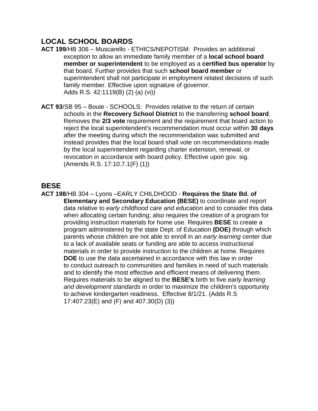#### **LOCAL SCHOOL BOARDS**

- **ACT 199**/HB 306 Muscarello ETHICS/NEPOTISM: Provides an additional exception to allow an immediate family member of a **local school board member or superintendent** to be employed as a **certified bus operator** by that board. Further provides that such **school board member** or superintendent shall not participate in employment related decisions of such family member. Effective upon signature of governor. Adds R.S. 42:1119(B) (2) (a) (vi))
- **ACT 93**/SB 95 Bouie SCHOOLS: Provides relative to the return of certain schools in the **Recovery School District** to the transferring **school board**. Removes the **2/3 vote** requirement and the requirement that board action to reject the local superintendent's recommendation must occur within **30 days** after the meeting during which the recommendation was submitted and instead provides that the local board shall vote on recommendations made by the local superintendent regarding charter extension, renewal, or revocation in accordance with board policy. Effective upon gov. sig. (Amends R.S. 17:10.7.1(F) (1))

#### **BESE**

**ACT 198**/HB 304 – Lyons –EARLY CHILDHOOD - **Requires the State Bd. of Elementary and Secondary Education (BESE)** to coordinate and report data relative to *early childhood care and education* and to consider this data when allocating certain funding; also requires the creation of a program for providing instruction materials for home use. Requires **BESE** to create a program administered by the state Dept. of Education **(DOE)** through which parents whose children are not able to enroll in an *early learning center* due to a lack of available seats or funding are able to access instructional materials in order to provide instruction to the children at home. Requires **DOE** to use the data ascertained in accordance with this law in order to conduct outreach to communities and families in need of such materials and to identify the most effective and efficient means of delivering them. Requires materials to be aligned to the **BESE's** birth to five *early learning and development standards* in order to maximize the children's opportunity to achieve kindergarten readiness. Effective 8/1/21. (Adds R.S 17:407.23(E) and (F) and 407.30(D) (3))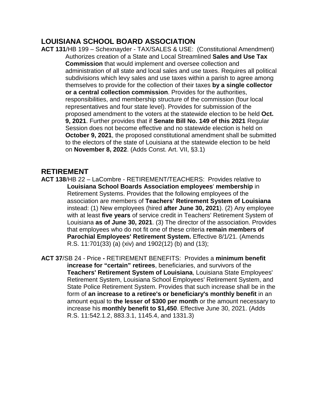#### **LOUISIANA SCHOOL BOARD ASSOCIATION**

**ACT 131**/HB 199 – Schexnayder - TAX/SALES & USE: (Constitutional Amendment) Authorizes creation of a State and Local Streamlined **Sales and Use Tax Commission** that would implement and oversee collection and administration of all state and local sales and use taxes. Requires all political subdivisions which levy sales and use taxes within a parish to agree among themselves to provide for the collection of their taxes **by a single collector or a central collection commission**. Provides for the authorities, responsibilities, and membership structure of the commission (four local representatives and four state level). Provides for submission of the proposed amendment to the voters at the statewide election to be held **Oct. 9, 2021**. Further provides that if **Senate Bill No. 149 of this 2021** Regular Session does not become effective and no statewide election is held on **October 9, 2021**, the proposed constitutional amendment shall be submitted to the electors of the state of Louisiana at the statewide election to be held on **November 8, 2022**. (Adds Const. Art. VII, §3.1)

#### **RETIREMENT**

- **ACT 138**/HB 22 LaCombre RETIREMENT/TEACHERS: Provides relative to **Louisiana School Boards Association employees**' **membership** in Retirement Systems. Provides that the following employees of the association are members of **Teachers' Retirement System of Louisiana** instead: (1) New employees (hired **after June 30, 2021**). (2) Any employee with at least **five years** of service credit in Teachers' Retirement System of Louisiana **as of June 30, 2021**. (3) The director of the association. Provides that employees who do not fit one of these criteria **remain members of Parochial Employees' Retirement System.** Effective 8/1/21. (Amends R.S. 11:701(33) (a) (xiv) and 1902(12) (b) and (13);
- **ACT 37**/SB 24 Price **-** RETIREMENT BENEFITS: Provides a **minimum benefit increase for "certain" retirees**, beneficiaries, and survivors of the **Teachers' Retirement System of Louisiana**, Louisiana State Employees' Retirement System, Louisiana School Employees' Retirement System, and State Police Retirement System. Provides that such increase shall be in the form of **an increase to a retiree's or beneficiary's monthly benefit** in an amount equal to **the lesser of \$300 per month** or the amount necessary to increase his **monthly benefit to \$1,450**. Effective June 30, 2021. (Adds R.S. 11:542.1.2, 883.3.1, 1145.4, and 1331.3)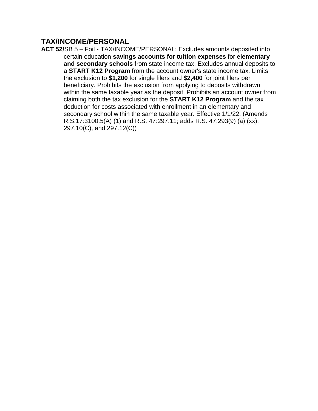#### **TAX/INCOME/PERSONAL**

**ACT 52/**SB 5 – Foil - TAX/INCOME/PERSONAL: Excludes amounts deposited into certain education **savings accounts for tuition expenses** for **elementary and secondary schools** from state income tax. Excludes annual deposits to a **START K12 Program** from the account owner's state income tax. Limits the exclusion to **\$1,200** for single filers and **\$2,400** for joint filers per beneficiary. Prohibits the exclusion from applying to deposits withdrawn within the same taxable year as the deposit. Prohibits an account owner from claiming both the tax exclusion for the **START K12 Program** and the tax deduction for costs associated with enrollment in an elementary and secondary school within the same taxable year. Effective 1/1/22. (Amends R.S.17:3100.5(A) (1) and R.S. 47:297.11; adds R.S. 47:293(9) (a) (xx), 297.10(C), and 297.12(C))